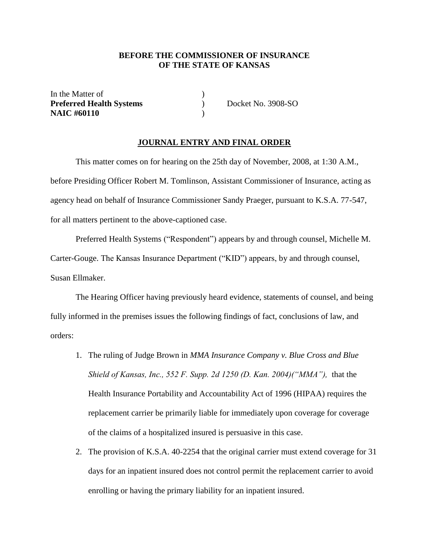### **BEFORE THE COMMISSIONER OF INSURANCE OF THE STATE OF KANSAS**

| In the Matter of                |                    |
|---------------------------------|--------------------|
| <b>Preferred Health Systems</b> | Docket No. 3908-SO |
| <b>NAIC #60110</b>              |                    |

#### **JOURNAL ENTRY AND FINAL ORDER**

This matter comes on for hearing on the 25th day of November, 2008, at 1:30 A.M., before Presiding Officer Robert M. Tomlinson, Assistant Commissioner of Insurance, acting as agency head on behalf of Insurance Commissioner Sandy Praeger, pursuant to K.S.A. 77-547, for all matters pertinent to the above-captioned case.

Preferred Health Systems ("Respondent") appears by and through counsel, Michelle M. Carter-Gouge. The Kansas Insurance Department ("KID") appears, by and through counsel, Susan Ellmaker.

The Hearing Officer having previously heard evidence, statements of counsel, and being fully informed in the premises issues the following findings of fact, conclusions of law, and orders:

- 1. The ruling of Judge Brown in *MMA Insurance Company v. Blue Cross and Blue Shield of Kansas, Inc., 552 F. Supp. 2d 1250 (D. Kan. 2004)("MMA"),* that the Health Insurance Portability and Accountability Act of 1996 (HIPAA) requires the replacement carrier be primarily liable for immediately upon coverage for coverage of the claims of a hospitalized insured is persuasive in this case.
- 2. The provision of K.S.A. 40-2254 that the original carrier must extend coverage for 31 days for an inpatient insured does not control permit the replacement carrier to avoid enrolling or having the primary liability for an inpatient insured.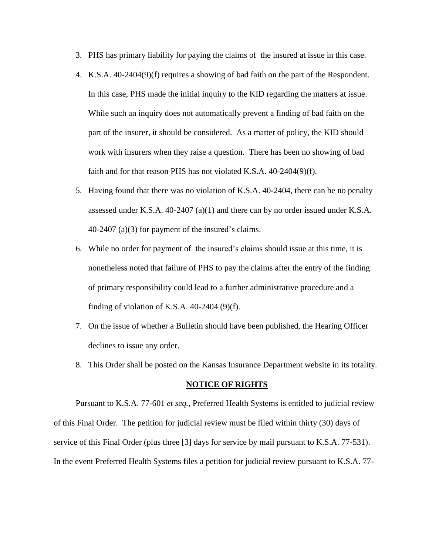- 3. PHS has primary liability for paying the claims of the insured at issue in this case.
- 4. K.S.A. 40-2404(9)(f) requires a showing of bad faith on the part of the Respondent. In this case, PHS made the initial inquiry to the KID regarding the matters at issue. While such an inquiry does not automatically prevent a finding of bad faith on the part of the insurer, it should be considered. As a matter of policy, the KID should work with insurers when they raise a question. There has been no showing of bad faith and for that reason PHS has not violated K.S.A. 40-2404(9)(f).
- 5. Having found that there was no violation of K.S.A. 40-2404, there can be no penalty assessed under K.S.A.  $40-2407$  (a)(1) and there can by no order issued under K.S.A. 40-2407 (a)(3) for payment of the insured's claims.
- 6. While no order for payment of the insured's claims should issue at this time, it is nonetheless noted that failure of PHS to pay the claims after the entry of the finding of primary responsibility could lead to a further administrative procedure and a finding of violation of K.S.A.  $40-2404$  (9)(f).
- 7. On the issue of whether a Bulletin should have been published, the Hearing Officer declines to issue any order.
- 8. This Order shall be posted on the Kansas Insurance Department website in its totality.

#### **NOTICE OF RIGHTS**

Pursuant to K.S.A. 77-601 *et seq.*, Preferred Health Systems is entitled to judicial review of this Final Order. The petition for judicial review must be filed within thirty (30) days of service of this Final Order (plus three [3] days for service by mail pursuant to K.S.A. 77-531). In the event Preferred Health Systems files a petition for judicial review pursuant to K.S.A. 77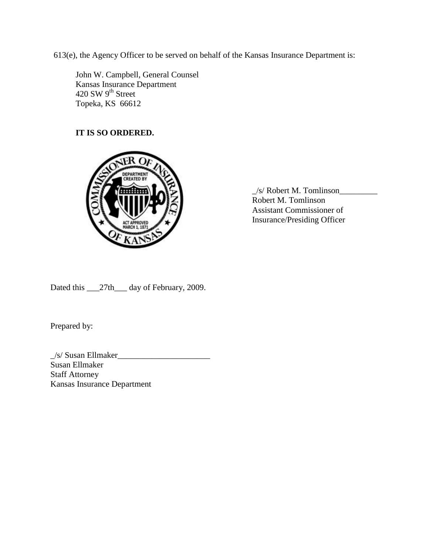613(e), the Agency Officer to be served on behalf of the Kansas Insurance Department is:

John W. Campbell, General Counsel Kansas Insurance Department 420 SW  $9^{\text{th}}$  Street Topeka, KS 66612

# **IT IS SO ORDERED.**



\_/s/ Robert M. Tomlinson\_\_\_\_\_\_\_\_\_ Robert M. Tomlinson Assistant Commissioner of Insurance/Presiding Officer

Dated this \_\_\_27th\_\_\_ day of February, 2009.

Prepared by:

 $\angle$ /s/ Susan Ellmaker $\angle$ Susan Ellmaker Staff Attorney Kansas Insurance Department